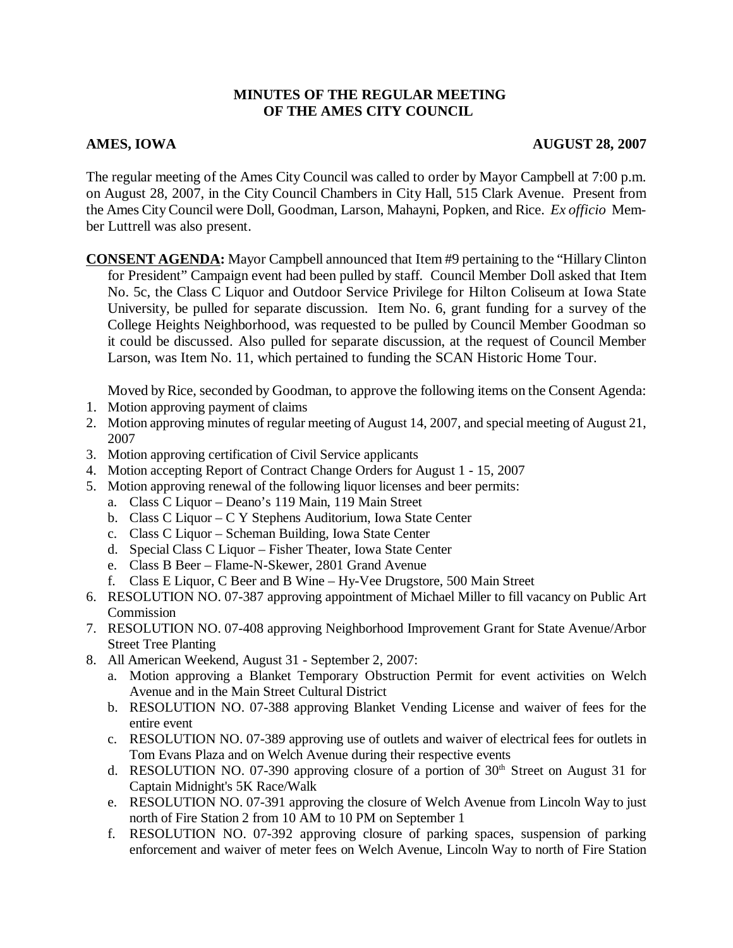# **MINUTES OF THE REGULAR MEETING OF THE AMES CITY COUNCIL**

# AMES, IOWA **AUGUST 28, 2007**

The regular meeting of the Ames City Council was called to order by Mayor Campbell at 7:00 p.m. on August 28, 2007, in the City Council Chambers in City Hall, 515 Clark Avenue. Present from the Ames City Council were Doll, Goodman, Larson, Mahayni, Popken, and Rice. *Ex officio* Member Luttrell was also present.

**CONSENT AGENDA:** Mayor Campbell announced that Item #9 pertaining to the "Hillary Clinton for President" Campaign event had been pulled by staff. Council Member Doll asked that Item No. 5c, the Class C Liquor and Outdoor Service Privilege for Hilton Coliseum at Iowa State University, be pulled for separate discussion. Item No. 6, grant funding for a survey of the College Heights Neighborhood, was requested to be pulled by Council Member Goodman so it could be discussed. Also pulled for separate discussion, at the request of Council Member Larson, was Item No. 11, which pertained to funding the SCAN Historic Home Tour.

Moved by Rice, seconded by Goodman, to approve the following items on the Consent Agenda:

- 1. Motion approving payment of claims
- 2. Motion approving minutes of regular meeting of August 14, 2007, and special meeting of August 21, 2007
- 3. Motion approving certification of Civil Service applicants
- 4. Motion accepting Report of Contract Change Orders for August 1 15, 2007
- 5. Motion approving renewal of the following liquor licenses and beer permits:
	- a. Class C Liquor Deano's 119 Main, 119 Main Street
	- b. Class C Liquor C Y Stephens Auditorium, Iowa State Center
	- c. Class C Liquor Scheman Building, Iowa State Center
	- d. Special Class C Liquor Fisher Theater, Iowa State Center
	- e. Class B Beer Flame-N-Skewer, 2801 Grand Avenue
	- f. Class E Liquor, C Beer and B Wine Hy-Vee Drugstore, 500 Main Street
- 6. RESOLUTION NO. 07-387 approving appointment of Michael Miller to fill vacancy on Public Art Commission
- 7. RESOLUTION NO. 07-408 approving Neighborhood Improvement Grant for State Avenue/Arbor Street Tree Planting
- 8. All American Weekend, August 31 September 2, 2007:
	- a. Motion approving a Blanket Temporary Obstruction Permit for event activities on Welch Avenue and in the Main Street Cultural District
	- b. RESOLUTION NO. 07-388 approving Blanket Vending License and waiver of fees for the entire event
	- c. RESOLUTION NO. 07-389 approving use of outlets and waiver of electrical fees for outlets in Tom Evans Plaza and on Welch Avenue during their respective events
	- d. RESOLUTION NO. 07-390 approving closure of a portion of  $30<sup>th</sup>$  Street on August 31 for Captain Midnight's 5K Race/Walk
	- e. RESOLUTION NO. 07-391 approving the closure of Welch Avenue from Lincoln Way to just north of Fire Station 2 from 10 AM to 10 PM on September 1
	- f. RESOLUTION NO. 07-392 approving closure of parking spaces, suspension of parking enforcement and waiver of meter fees on Welch Avenue, Lincoln Way to north of Fire Station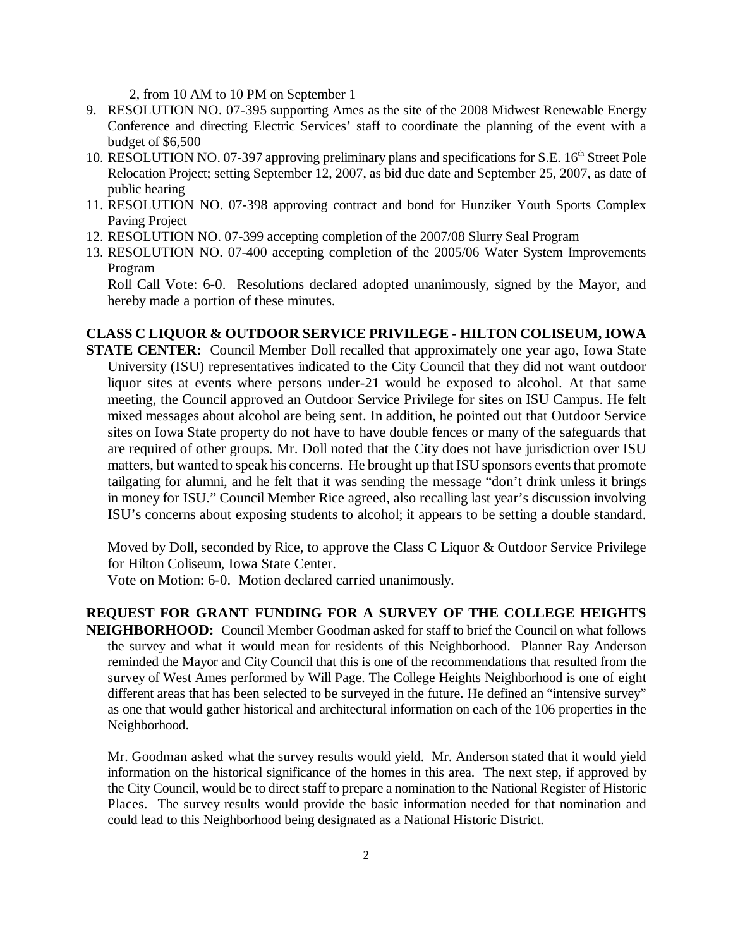2, from 10 AM to 10 PM on September 1

- 9. RESOLUTION NO. 07-395 supporting Ames as the site of the 2008 Midwest Renewable Energy Conference and directing Electric Services' staff to coordinate the planning of the event with a budget of \$6,500
- 10. RESOLUTION NO. 07-397 approving preliminary plans and specifications for S.E. 16<sup>th</sup> Street Pole Relocation Project; setting September 12, 2007, as bid due date and September 25, 2007, as date of public hearing
- 11. RESOLUTION NO. 07-398 approving contract and bond for Hunziker Youth Sports Complex Paving Project
- 12. RESOLUTION NO. 07-399 accepting completion of the 2007/08 Slurry Seal Program
- 13. RESOLUTION NO. 07-400 accepting completion of the 2005/06 Water System Improvements Program

Roll Call Vote: 6-0. Resolutions declared adopted unanimously, signed by the Mayor, and hereby made a portion of these minutes.

#### **CLASS C LIQUOR & OUTDOOR SERVICE PRIVILEGE - HILTON COLISEUM, IOWA**

**STATE CENTER:** Council Member Doll recalled that approximately one year ago, Iowa State University (ISU) representatives indicated to the City Council that they did not want outdoor liquor sites at events where persons under-21 would be exposed to alcohol. At that same meeting, the Council approved an Outdoor Service Privilege for sites on ISU Campus. He felt mixed messages about alcohol are being sent. In addition, he pointed out that Outdoor Service sites on Iowa State property do not have to have double fences or many of the safeguards that are required of other groups. Mr. Doll noted that the City does not have jurisdiction over ISU matters, but wanted to speak his concerns. He brought up that ISU sponsors events that promote tailgating for alumni, and he felt that it was sending the message "don't drink unless it brings in money for ISU." Council Member Rice agreed, also recalling last year's discussion involving ISU's concerns about exposing students to alcohol; it appears to be setting a double standard.

Moved by Doll, seconded by Rice, to approve the Class C Liquor & Outdoor Service Privilege for Hilton Coliseum, Iowa State Center.

Vote on Motion: 6-0. Motion declared carried unanimously.

### **REQUEST FOR GRANT FUNDING FOR A SURVEY OF THE COLLEGE HEIGHTS**

**NEIGHBORHOOD:** Council Member Goodman asked for staff to brief the Council on what follows the survey and what it would mean for residents of this Neighborhood. Planner Ray Anderson reminded the Mayor and City Council that this is one of the recommendations that resulted from the survey of West Ames performed by Will Page. The College Heights Neighborhood is one of eight different areas that has been selected to be surveyed in the future. He defined an "intensive survey" as one that would gather historical and architectural information on each of the 106 properties in the Neighborhood.

Mr. Goodman asked what the survey results would yield. Mr. Anderson stated that it would yield information on the historical significance of the homes in this area. The next step, if approved by the City Council, would be to direct staff to prepare a nomination to the National Register of Historic Places. The survey results would provide the basic information needed for that nomination and could lead to this Neighborhood being designated as a National Historic District.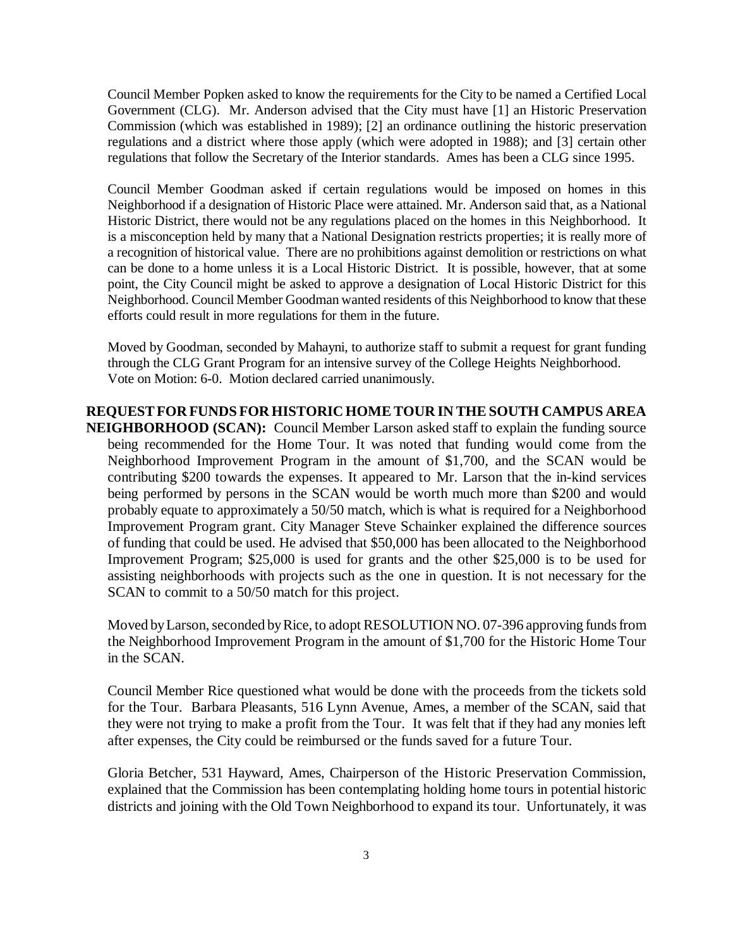Council Member Popken asked to know the requirements for the City to be named a Certified Local Government (CLG). Mr. Anderson advised that the City must have [1] an Historic Preservation Commission (which was established in 1989); [2] an ordinance outlining the historic preservation regulations and a district where those apply (which were adopted in 1988); and [3] certain other regulations that follow the Secretary of the Interior standards. Ames has been a CLG since 1995.

Council Member Goodman asked if certain regulations would be imposed on homes in this Neighborhood if a designation of Historic Place were attained. Mr. Anderson said that, as a National Historic District, there would not be any regulations placed on the homes in this Neighborhood. It is a misconception held by many that a National Designation restricts properties; it is really more of a recognition of historical value. There are no prohibitions against demolition or restrictions on what can be done to a home unless it is a Local Historic District. It is possible, however, that at some point, the City Council might be asked to approve a designation of Local Historic District for this Neighborhood. Council Member Goodman wanted residents of this Neighborhood to know that these efforts could result in more regulations for them in the future.

Moved by Goodman, seconded by Mahayni, to authorize staff to submit a request for grant funding through the CLG Grant Program for an intensive survey of the College Heights Neighborhood. Vote on Motion: 6-0. Motion declared carried unanimously.

# **REQUEST FOR FUNDS FOR HISTORIC HOME TOUR IN THE SOUTH CAMPUS AREA NEIGHBORHOOD (SCAN):** Council Member Larson asked staff to explain the funding source being recommended for the Home Tour. It was noted that funding would come from the Neighborhood Improvement Program in the amount of \$1,700, and the SCAN would be contributing \$200 towards the expenses. It appeared to Mr. Larson that the in-kind services being performed by persons in the SCAN would be worth much more than \$200 and would probably equate to approximately a 50/50 match, which is what is required for a Neighborhood Improvement Program grant. City Manager Steve Schainker explained the difference sources

of funding that could be used. He advised that \$50,000 has been allocated to the Neighborhood Improvement Program; \$25,000 is used for grants and the other \$25,000 is to be used for assisting neighborhoods with projects such as the one in question. It is not necessary for the SCAN to commit to a 50/50 match for this project.

Moved by Larson, seconded by Rice, to adopt RESOLUTION NO. 07-396 approving funds from the Neighborhood Improvement Program in the amount of \$1,700 for the Historic Home Tour in the SCAN.

Council Member Rice questioned what would be done with the proceeds from the tickets sold for the Tour. Barbara Pleasants, 516 Lynn Avenue, Ames, a member of the SCAN, said that they were not trying to make a profit from the Tour. It was felt that if they had any monies left after expenses, the City could be reimbursed or the funds saved for a future Tour.

Gloria Betcher, 531 Hayward, Ames, Chairperson of the Historic Preservation Commission, explained that the Commission has been contemplating holding home tours in potential historic districts and joining with the Old Town Neighborhood to expand its tour. Unfortunately, it was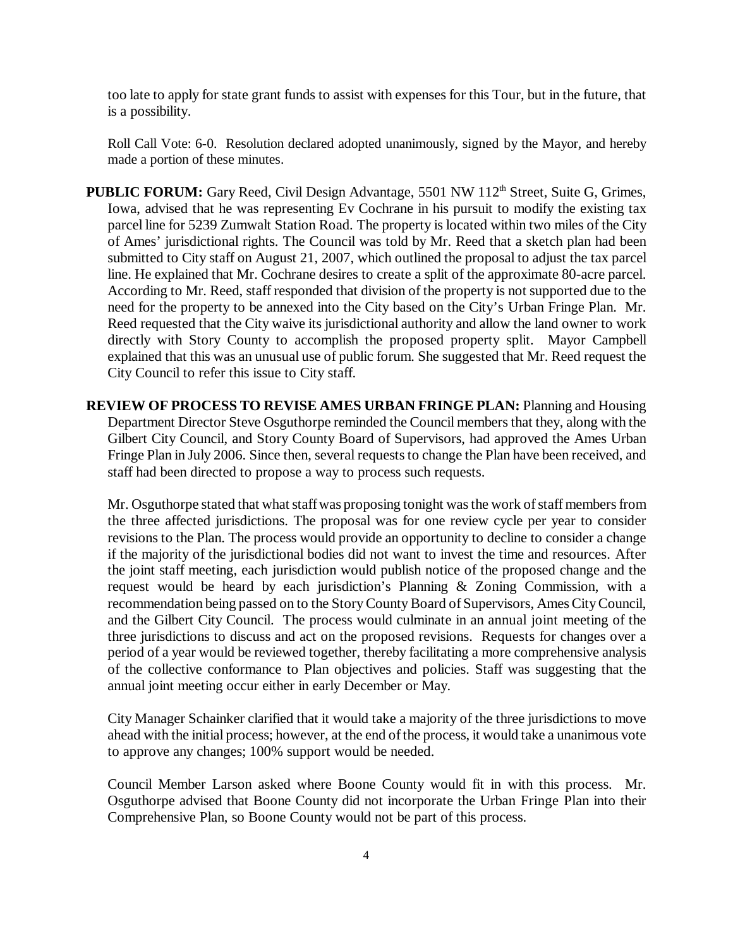too late to apply for state grant funds to assist with expenses for this Tour, but in the future, that is a possibility.

Roll Call Vote: 6-0. Resolution declared adopted unanimously, signed by the Mayor, and hereby made a portion of these minutes.

- **PUBLIC FORUM:** Gary Reed, Civil Design Advantage, 5501 NW 112<sup>th</sup> Street, Suite G, Grimes, Iowa, advised that he was representing Ev Cochrane in his pursuit to modify the existing tax parcel line for 5239 Zumwalt Station Road. The property is located within two miles of the City of Ames' jurisdictional rights. The Council was told by Mr. Reed that a sketch plan had been submitted to City staff on August 21, 2007, which outlined the proposal to adjust the tax parcel line. He explained that Mr. Cochrane desires to create a split of the approximate 80-acre parcel. According to Mr. Reed, staff responded that division of the property is not supported due to the need for the property to be annexed into the City based on the City's Urban Fringe Plan. Mr. Reed requested that the City waive its jurisdictional authority and allow the land owner to work directly with Story County to accomplish the proposed property split. Mayor Campbell explained that this was an unusual use of public forum. She suggested that Mr. Reed request the City Council to refer this issue to City staff.
- **REVIEW OF PROCESS TO REVISE AMES URBAN FRINGE PLAN:** Planning and Housing Department Director Steve Osguthorpe reminded the Council members that they, along with the Gilbert City Council, and Story County Board of Supervisors, had approved the Ames Urban Fringe Plan in July 2006. Since then, several requests to change the Plan have been received, and staff had been directed to propose a way to process such requests.

Mr. Osguthorpe stated that what staff was proposing tonight was the work of staff members from the three affected jurisdictions. The proposal was for one review cycle per year to consider revisions to the Plan. The process would provide an opportunity to decline to consider a change if the majority of the jurisdictional bodies did not want to invest the time and resources. After the joint staff meeting, each jurisdiction would publish notice of the proposed change and the request would be heard by each jurisdiction's Planning & Zoning Commission, with a recommendation being passed on to the Story County Board of Supervisors, Ames City Council, and the Gilbert City Council. The process would culminate in an annual joint meeting of the three jurisdictions to discuss and act on the proposed revisions. Requests for changes over a period of a year would be reviewed together, thereby facilitating a more comprehensive analysis of the collective conformance to Plan objectives and policies. Staff was suggesting that the annual joint meeting occur either in early December or May.

City Manager Schainker clarified that it would take a majority of the three jurisdictions to move ahead with the initial process; however, at the end of the process, it would take a unanimous vote to approve any changes; 100% support would be needed.

Council Member Larson asked where Boone County would fit in with this process. Mr. Osguthorpe advised that Boone County did not incorporate the Urban Fringe Plan into their Comprehensive Plan, so Boone County would not be part of this process.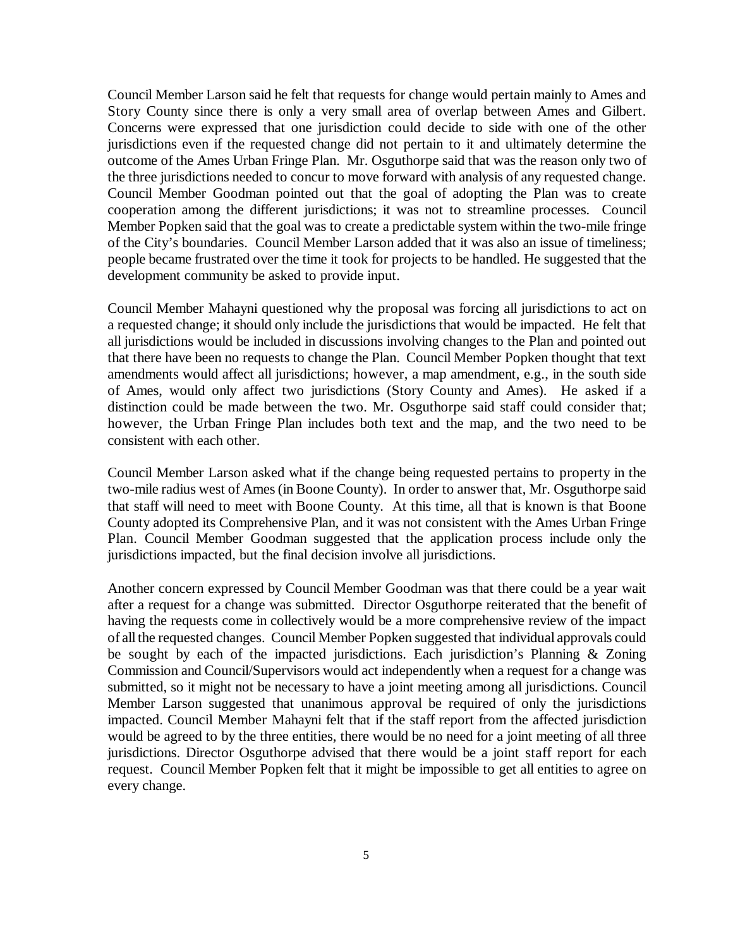Council Member Larson said he felt that requests for change would pertain mainly to Ames and Story County since there is only a very small area of overlap between Ames and Gilbert. Concerns were expressed that one jurisdiction could decide to side with one of the other jurisdictions even if the requested change did not pertain to it and ultimately determine the outcome of the Ames Urban Fringe Plan. Mr. Osguthorpe said that was the reason only two of the three jurisdictions needed to concur to move forward with analysis of any requested change. Council Member Goodman pointed out that the goal of adopting the Plan was to create cooperation among the different jurisdictions; it was not to streamline processes. Council Member Popken said that the goal was to create a predictable system within the two-mile fringe of the City's boundaries. Council Member Larson added that it was also an issue of timeliness; people became frustrated over the time it took for projects to be handled. He suggested that the development community be asked to provide input.

Council Member Mahayni questioned why the proposal was forcing all jurisdictions to act on a requested change; it should only include the jurisdictions that would be impacted. He felt that all jurisdictions would be included in discussions involving changes to the Plan and pointed out that there have been no requests to change the Plan. Council Member Popken thought that text amendments would affect all jurisdictions; however, a map amendment, e.g., in the south side of Ames, would only affect two jurisdictions (Story County and Ames). He asked if a distinction could be made between the two. Mr. Osguthorpe said staff could consider that; however, the Urban Fringe Plan includes both text and the map, and the two need to be consistent with each other.

Council Member Larson asked what if the change being requested pertains to property in the two-mile radius west of Ames (in Boone County). In order to answer that, Mr. Osguthorpe said that staff will need to meet with Boone County. At this time, all that is known is that Boone County adopted its Comprehensive Plan, and it was not consistent with the Ames Urban Fringe Plan. Council Member Goodman suggested that the application process include only the jurisdictions impacted, but the final decision involve all jurisdictions.

Another concern expressed by Council Member Goodman was that there could be a year wait after a request for a change was submitted. Director Osguthorpe reiterated that the benefit of having the requests come in collectively would be a more comprehensive review of the impact of all the requested changes. Council Member Popken suggested that individual approvals could be sought by each of the impacted jurisdictions. Each jurisdiction's Planning & Zoning Commission and Council/Supervisors would act independently when a request for a change was submitted, so it might not be necessary to have a joint meeting among all jurisdictions. Council Member Larson suggested that unanimous approval be required of only the jurisdictions impacted. Council Member Mahayni felt that if the staff report from the affected jurisdiction would be agreed to by the three entities, there would be no need for a joint meeting of all three jurisdictions. Director Osguthorpe advised that there would be a joint staff report for each request. Council Member Popken felt that it might be impossible to get all entities to agree on every change.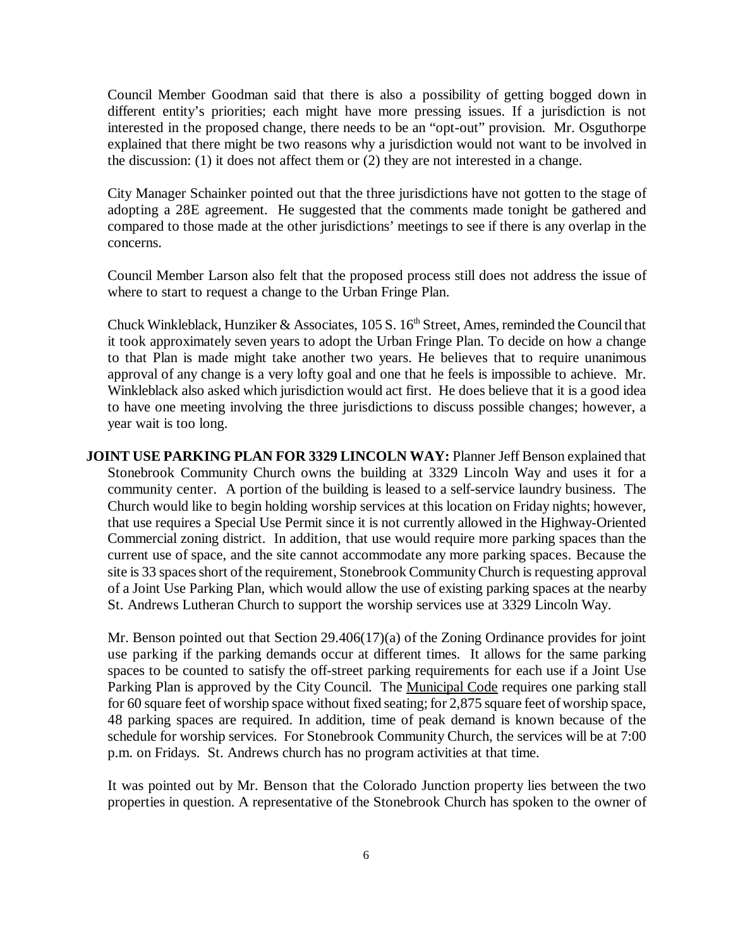Council Member Goodman said that there is also a possibility of getting bogged down in different entity's priorities; each might have more pressing issues. If a jurisdiction is not interested in the proposed change, there needs to be an "opt-out" provision. Mr. Osguthorpe explained that there might be two reasons why a jurisdiction would not want to be involved in the discussion: (1) it does not affect them or (2) they are not interested in a change.

City Manager Schainker pointed out that the three jurisdictions have not gotten to the stage of adopting a 28E agreement. He suggested that the comments made tonight be gathered and compared to those made at the other jurisdictions' meetings to see if there is any overlap in the concerns.

Council Member Larson also felt that the proposed process still does not address the issue of where to start to request a change to the Urban Fringe Plan.

Chuck Winkleblack, Hunziker & Associates, 105 S.  $16<sup>th</sup>$  Street, Ames, reminded the Council that it took approximately seven years to adopt the Urban Fringe Plan. To decide on how a change to that Plan is made might take another two years. He believes that to require unanimous approval of any change is a very lofty goal and one that he feels is impossible to achieve. Mr. Winkleblack also asked which jurisdiction would act first. He does believe that it is a good idea to have one meeting involving the three jurisdictions to discuss possible changes; however, a year wait is too long.

**JOINT USE PARKING PLAN FOR 3329 LINCOLN WAY:** Planner Jeff Benson explained that Stonebrook Community Church owns the building at 3329 Lincoln Way and uses it for a community center. A portion of the building is leased to a self-service laundry business. The Church would like to begin holding worship services at this location on Friday nights; however, that use requires a Special Use Permit since it is not currently allowed in the Highway-Oriented Commercial zoning district. In addition, that use would require more parking spaces than the current use of space, and the site cannot accommodate any more parking spaces. Because the site is 33 spaces short of the requirement, Stonebrook Community Church is requesting approval of a Joint Use Parking Plan, which would allow the use of existing parking spaces at the nearby St. Andrews Lutheran Church to support the worship services use at 3329 Lincoln Way.

Mr. Benson pointed out that Section 29.406(17)(a) of the Zoning Ordinance provides for joint use parking if the parking demands occur at different times. It allows for the same parking spaces to be counted to satisfy the off-street parking requirements for each use if a Joint Use Parking Plan is approved by the City Council. The Municipal Code requires one parking stall for 60 square feet of worship space without fixed seating; for 2,875 square feet of worship space, 48 parking spaces are required. In addition, time of peak demand is known because of the schedule for worship services. For Stonebrook Community Church, the services will be at 7:00 p.m. on Fridays. St. Andrews church has no program activities at that time.

 It was pointed out by Mr. Benson that the Colorado Junction property lies between the two properties in question. A representative of the Stonebrook Church has spoken to the owner of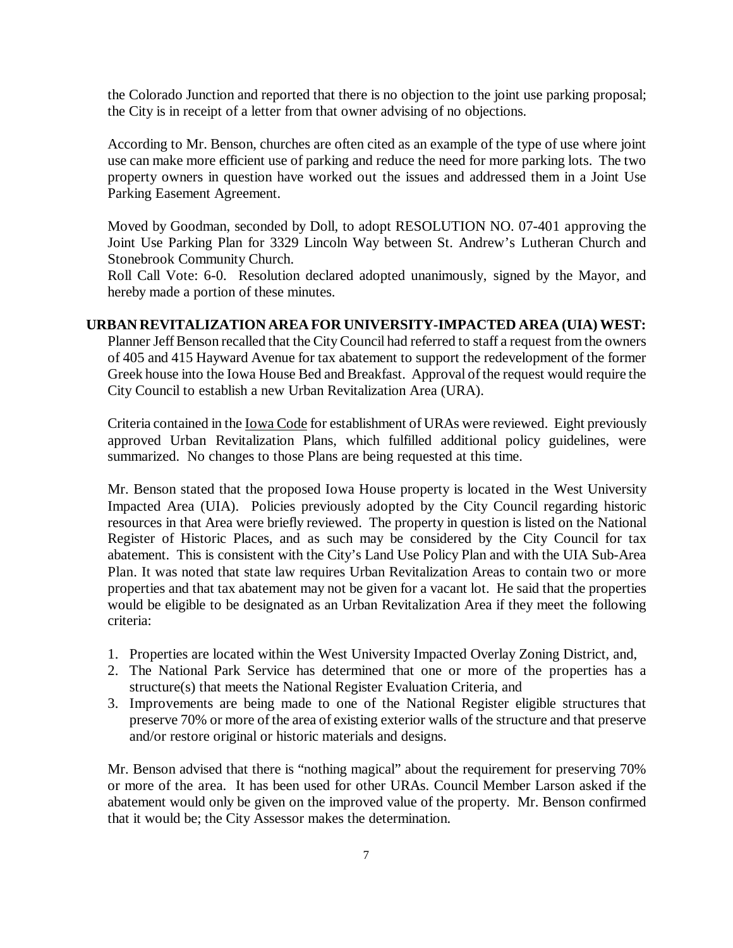the Colorado Junction and reported that there is no objection to the joint use parking proposal; the City is in receipt of a letter from that owner advising of no objections.

According to Mr. Benson, churches are often cited as an example of the type of use where joint use can make more efficient use of parking and reduce the need for more parking lots. The two property owners in question have worked out the issues and addressed them in a Joint Use Parking Easement Agreement.

Moved by Goodman, seconded by Doll, to adopt RESOLUTION NO. 07-401 approving the Joint Use Parking Plan for 3329 Lincoln Way between St. Andrew's Lutheran Church and Stonebrook Community Church.

Roll Call Vote: 6-0. Resolution declared adopted unanimously, signed by the Mayor, and hereby made a portion of these minutes.

# **URBAN REVITALIZATION AREA FOR UNIVERSITY-IMPACTED AREA (UIA) WEST:**

Planner Jeff Benson recalled that the City Council had referred to staff a request from the owners of 405 and 415 Hayward Avenue for tax abatement to support the redevelopment of the former Greek house into the Iowa House Bed and Breakfast. Approval of the request would require the City Council to establish a new Urban Revitalization Area (URA).

Criteria contained in the Iowa Code for establishment of URAs were reviewed. Eight previously approved Urban Revitalization Plans, which fulfilled additional policy guidelines, were summarized. No changes to those Plans are being requested at this time.

Mr. Benson stated that the proposed Iowa House property is located in the West University Impacted Area (UIA). Policies previously adopted by the City Council regarding historic resources in that Area were briefly reviewed. The property in question is listed on the National Register of Historic Places, and as such may be considered by the City Council for tax abatement. This is consistent with the City's Land Use Policy Plan and with the UIA Sub-Area Plan. It was noted that state law requires Urban Revitalization Areas to contain two or more properties and that tax abatement may not be given for a vacant lot. He said that the properties would be eligible to be designated as an Urban Revitalization Area if they meet the following criteria:

- 1. Properties are located within the West University Impacted Overlay Zoning District, and,
- 2. The National Park Service has determined that one or more of the properties has a structure(s) that meets the National Register Evaluation Criteria, and
- 3. Improvements are being made to one of the National Register eligible structures that preserve 70% or more of the area of existing exterior walls of the structure and that preserve and/or restore original or historic materials and designs.

Mr. Benson advised that there is "nothing magical" about the requirement for preserving 70% or more of the area. It has been used for other URAs. Council Member Larson asked if the abatement would only be given on the improved value of the property. Mr. Benson confirmed that it would be; the City Assessor makes the determination.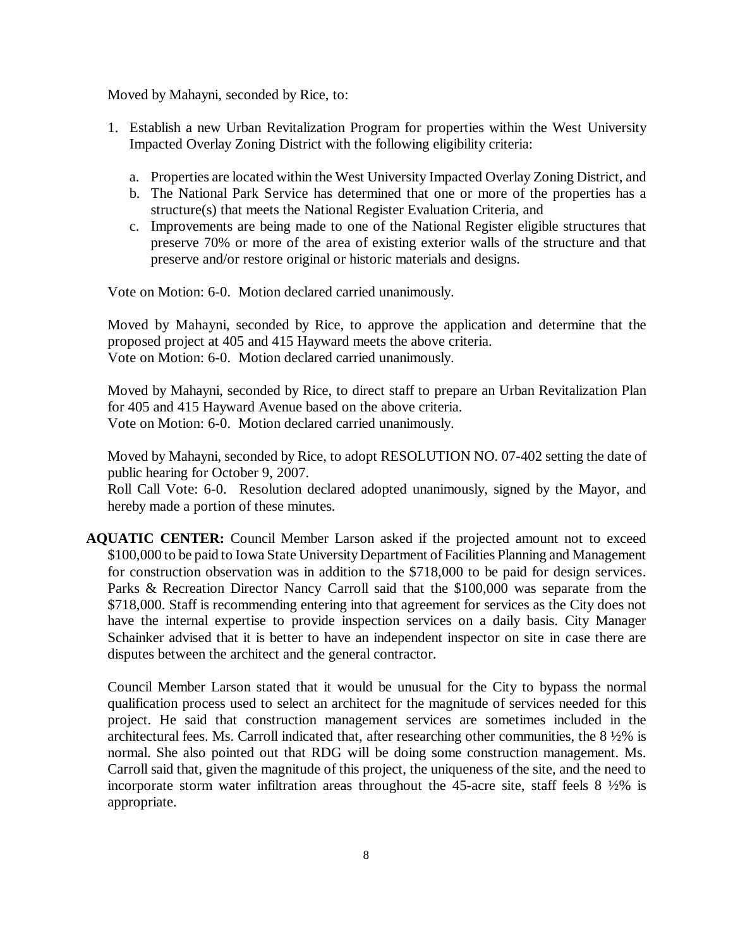Moved by Mahayni, seconded by Rice, to:

- 1. Establish a new Urban Revitalization Program for properties within the West University Impacted Overlay Zoning District with the following eligibility criteria:
	- a. Properties are located within the West University Impacted Overlay Zoning District, and
	- b. The National Park Service has determined that one or more of the properties has a structure(s) that meets the National Register Evaluation Criteria, and
	- c. Improvements are being made to one of the National Register eligible structures that preserve 70% or more of the area of existing exterior walls of the structure and that preserve and/or restore original or historic materials and designs.

Vote on Motion: 6-0. Motion declared carried unanimously.

Moved by Mahayni, seconded by Rice, to approve the application and determine that the proposed project at 405 and 415 Hayward meets the above criteria. Vote on Motion: 6-0. Motion declared carried unanimously.

Moved by Mahayni, seconded by Rice, to direct staff to prepare an Urban Revitalization Plan for 405 and 415 Hayward Avenue based on the above criteria. Vote on Motion: 6-0. Motion declared carried unanimously.

Moved by Mahayni, seconded by Rice, to adopt RESOLUTION NO. 07-402 setting the date of public hearing for October 9, 2007.

Roll Call Vote: 6-0. Resolution declared adopted unanimously, signed by the Mayor, and hereby made a portion of these minutes.

**AQUATIC CENTER:** Council Member Larson asked if the projected amount not to exceed \$100,000 to be paid to Iowa State University Department of Facilities Planning and Management for construction observation was in addition to the \$718,000 to be paid for design services. Parks & Recreation Director Nancy Carroll said that the \$100,000 was separate from the \$718,000. Staff is recommending entering into that agreement for services as the City does not have the internal expertise to provide inspection services on a daily basis. City Manager Schainker advised that it is better to have an independent inspector on site in case there are disputes between the architect and the general contractor.

Council Member Larson stated that it would be unusual for the City to bypass the normal qualification process used to select an architect for the magnitude of services needed for this project. He said that construction management services are sometimes included in the architectural fees. Ms. Carroll indicated that, after researching other communities, the 8 ½% is normal. She also pointed out that RDG will be doing some construction management. Ms. Carroll said that, given the magnitude of this project, the uniqueness of the site, and the need to incorporate storm water infiltration areas throughout the 45-acre site, staff feels 8 ½% is appropriate.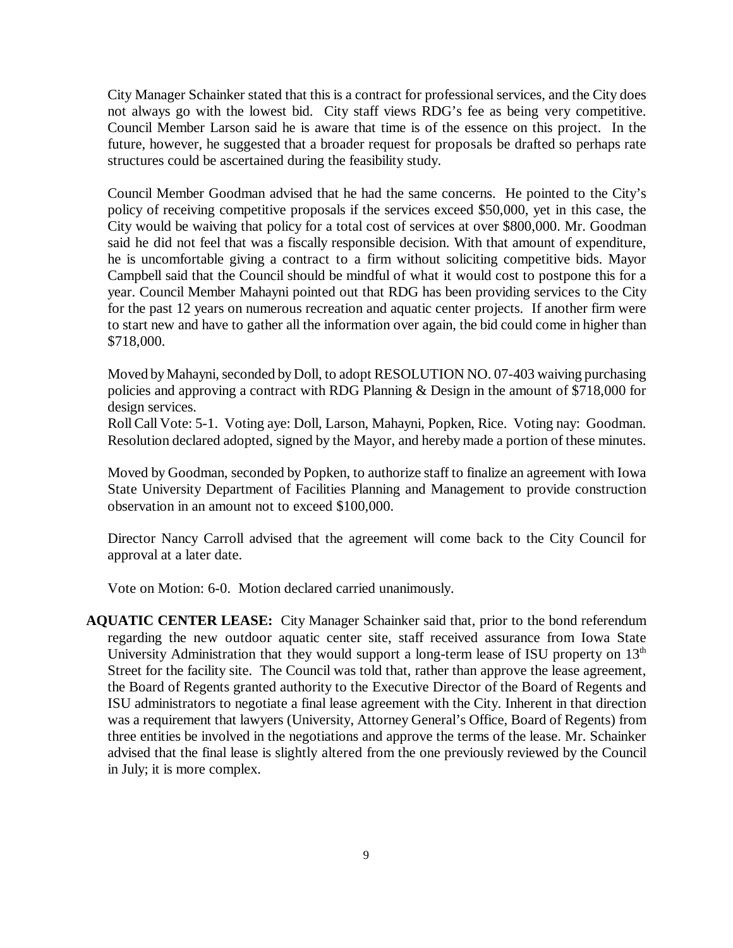City Manager Schainker stated that this is a contract for professional services, and the City does not always go with the lowest bid. City staff views RDG's fee as being very competitive. Council Member Larson said he is aware that time is of the essence on this project. In the future, however, he suggested that a broader request for proposals be drafted so perhaps rate structures could be ascertained during the feasibility study.

Council Member Goodman advised that he had the same concerns. He pointed to the City's policy of receiving competitive proposals if the services exceed \$50,000, yet in this case, the City would be waiving that policy for a total cost of services at over \$800,000. Mr. Goodman said he did not feel that was a fiscally responsible decision. With that amount of expenditure, he is uncomfortable giving a contract to a firm without soliciting competitive bids. Mayor Campbell said that the Council should be mindful of what it would cost to postpone this for a year. Council Member Mahayni pointed out that RDG has been providing services to the City for the past 12 years on numerous recreation and aquatic center projects. If another firm were to start new and have to gather all the information over again, the bid could come in higher than \$718,000.

Moved by Mahayni, seconded by Doll, to adopt RESOLUTION NO. 07-403 waiving purchasing policies and approving a contract with RDG Planning & Design in the amount of \$718,000 for design services.

Roll Call Vote: 5-1. Voting aye: Doll, Larson, Mahayni, Popken, Rice. Voting nay: Goodman. Resolution declared adopted, signed by the Mayor, and hereby made a portion of these minutes.

Moved by Goodman, seconded by Popken, to authorize staff to finalize an agreement with Iowa State University Department of Facilities Planning and Management to provide construction observation in an amount not to exceed \$100,000.

Director Nancy Carroll advised that the agreement will come back to the City Council for approval at a later date.

Vote on Motion: 6-0. Motion declared carried unanimously.

**AQUATIC CENTER LEASE:** City Manager Schainker said that, prior to the bond referendum regarding the new outdoor aquatic center site, staff received assurance from Iowa State University Administration that they would support a long-term lease of ISU property on  $13<sup>th</sup>$ Street for the facility site. The Council was told that, rather than approve the lease agreement, the Board of Regents granted authority to the Executive Director of the Board of Regents and ISU administrators to negotiate a final lease agreement with the City. Inherent in that direction was a requirement that lawyers (University, Attorney General's Office, Board of Regents) from three entities be involved in the negotiations and approve the terms of the lease. Mr. Schainker advised that the final lease is slightly altered from the one previously reviewed by the Council in July; it is more complex.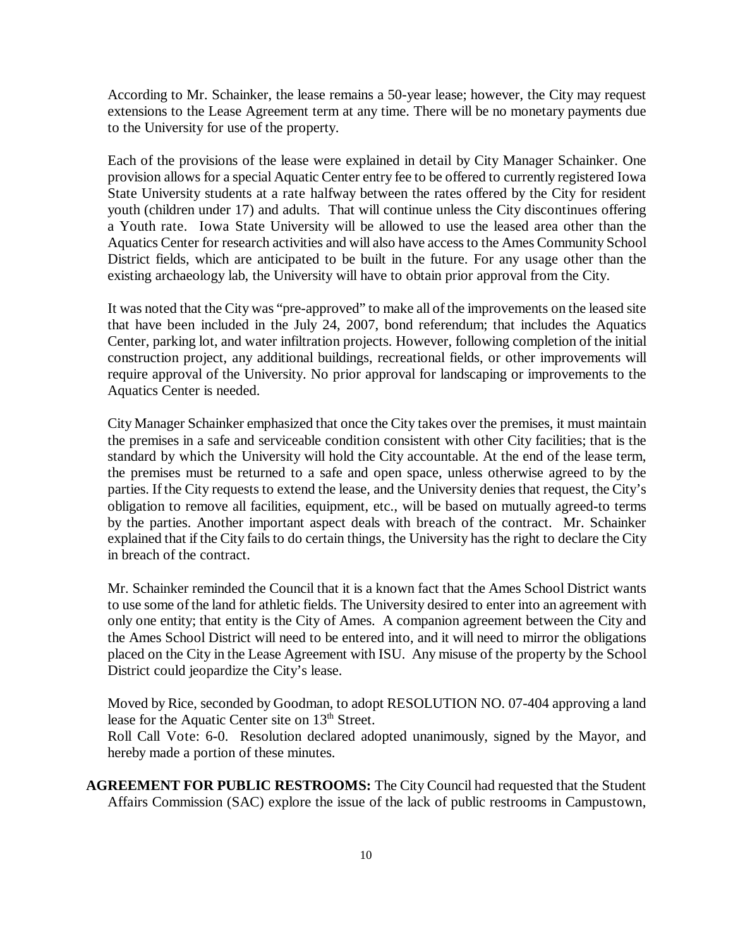According to Mr. Schainker, the lease remains a 50-year lease; however, the City may request extensions to the Lease Agreement term at any time. There will be no monetary payments due to the University for use of the property.

Each of the provisions of the lease were explained in detail by City Manager Schainker. One provision allows for a special Aquatic Center entry fee to be offered to currently registered Iowa State University students at a rate halfway between the rates offered by the City for resident youth (children under 17) and adults. That will continue unless the City discontinues offering a Youth rate. Iowa State University will be allowed to use the leased area other than the Aquatics Center for research activities and will also have access to the Ames Community School District fields, which are anticipated to be built in the future. For any usage other than the existing archaeology lab, the University will have to obtain prior approval from the City.

It was noted that the City was "pre-approved" to make all of the improvements on the leased site that have been included in the July 24, 2007, bond referendum; that includes the Aquatics Center, parking lot, and water infiltration projects. However, following completion of the initial construction project, any additional buildings, recreational fields, or other improvements will require approval of the University. No prior approval for landscaping or improvements to the Aquatics Center is needed.

City Manager Schainker emphasized that once the City takes over the premises, it must maintain the premises in a safe and serviceable condition consistent with other City facilities; that is the standard by which the University will hold the City accountable. At the end of the lease term, the premises must be returned to a safe and open space, unless otherwise agreed to by the parties. If the City requests to extend the lease, and the University denies that request, the City's obligation to remove all facilities, equipment, etc., will be based on mutually agreed-to terms by the parties. Another important aspect deals with breach of the contract. Mr. Schainker explained that if the City fails to do certain things, the University has the right to declare the City in breach of the contract.

Mr. Schainker reminded the Council that it is a known fact that the Ames School District wants to use some of the land for athletic fields. The University desired to enter into an agreement with only one entity; that entity is the City of Ames. A companion agreement between the City and the Ames School District will need to be entered into, and it will need to mirror the obligations placed on the City in the Lease Agreement with ISU. Any misuse of the property by the School District could jeopardize the City's lease.

Moved by Rice, seconded by Goodman, to adopt RESOLUTION NO. 07-404 approving a land lease for the Aquatic Center site on 13<sup>th</sup> Street.

Roll Call Vote: 6-0. Resolution declared adopted unanimously, signed by the Mayor, and hereby made a portion of these minutes.

**AGREEMENT FOR PUBLIC RESTROOMS:** The City Council had requested that the Student Affairs Commission (SAC) explore the issue of the lack of public restrooms in Campustown,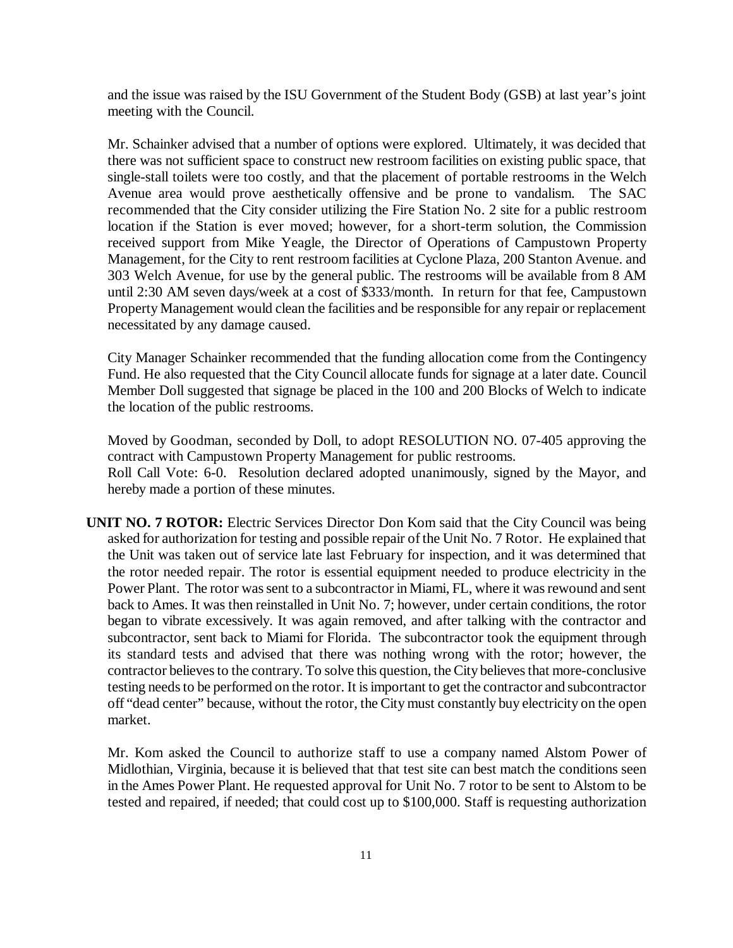and the issue was raised by the ISU Government of the Student Body (GSB) at last year's joint meeting with the Council.

Mr. Schainker advised that a number of options were explored. Ultimately, it was decided that there was not sufficient space to construct new restroom facilities on existing public space, that single-stall toilets were too costly, and that the placement of portable restrooms in the Welch Avenue area would prove aesthetically offensive and be prone to vandalism. The SAC recommended that the City consider utilizing the Fire Station No. 2 site for a public restroom location if the Station is ever moved; however, for a short-term solution, the Commission received support from Mike Yeagle, the Director of Operations of Campustown Property Management, for the City to rent restroom facilities at Cyclone Plaza, 200 Stanton Avenue. and 303 Welch Avenue, for use by the general public. The restrooms will be available from 8 AM until 2:30 AM seven days/week at a cost of \$333/month. In return for that fee, Campustown Property Management would clean the facilities and be responsible for any repair or replacement necessitated by any damage caused.

City Manager Schainker recommended that the funding allocation come from the Contingency Fund. He also requested that the City Council allocate funds for signage at a later date. Council Member Doll suggested that signage be placed in the 100 and 200 Blocks of Welch to indicate the location of the public restrooms.

Moved by Goodman, seconded by Doll, to adopt RESOLUTION NO. 07-405 approving the contract with Campustown Property Management for public restrooms. Roll Call Vote: 6-0. Resolution declared adopted unanimously, signed by the Mayor, and hereby made a portion of these minutes.

**UNIT NO. 7 ROTOR:** Electric Services Director Don Kom said that the City Council was being asked for authorization for testing and possible repair of the Unit No. 7 Rotor. He explained that the Unit was taken out of service late last February for inspection, and it was determined that the rotor needed repair. The rotor is essential equipment needed to produce electricity in the Power Plant. The rotor was sent to a subcontractor in Miami, FL, where it was rewound and sent back to Ames. It was then reinstalled in Unit No. 7; however, under certain conditions, the rotor began to vibrate excessively. It was again removed, and after talking with the contractor and subcontractor, sent back to Miami for Florida. The subcontractor took the equipment through its standard tests and advised that there was nothing wrong with the rotor; however, the contractor believes to the contrary. To solve this question, the City believes that more-conclusive testing needs to be performed on the rotor. It is important to get the contractor and subcontractor off "dead center" because, without the rotor, the City must constantly buy electricity on the open market.

Mr. Kom asked the Council to authorize staff to use a company named Alstom Power of Midlothian, Virginia, because it is believed that that test site can best match the conditions seen in the Ames Power Plant. He requested approval for Unit No. 7 rotor to be sent to Alstom to be tested and repaired, if needed; that could cost up to \$100,000. Staff is requesting authorization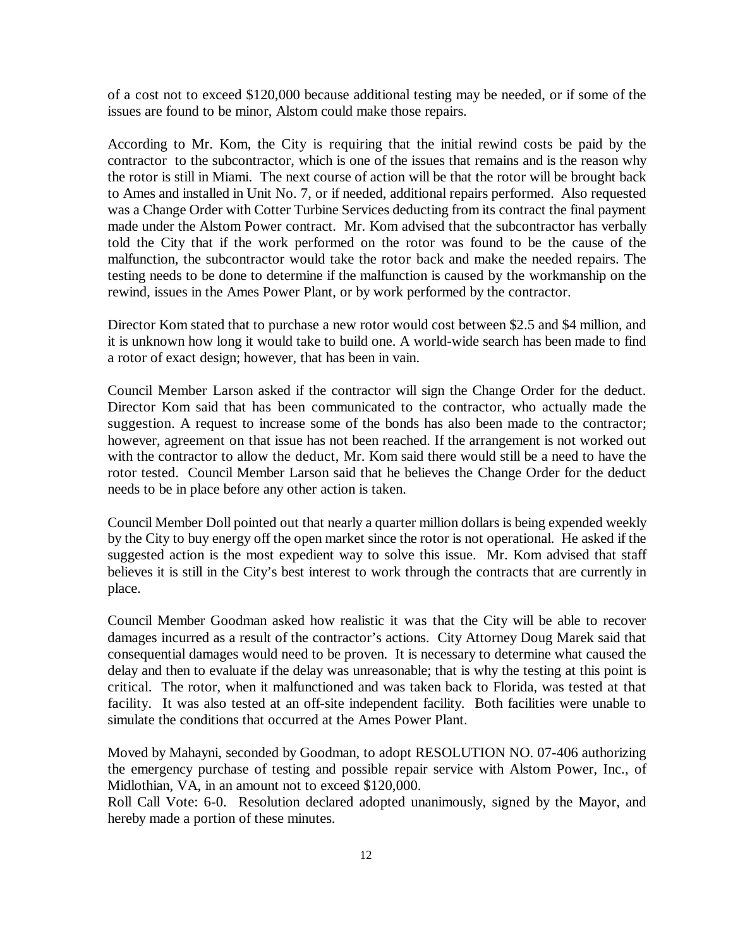of a cost not to exceed \$120,000 because additional testing may be needed, or if some of the issues are found to be minor, Alstom could make those repairs.

According to Mr. Kom, the City is requiring that the initial rewind costs be paid by the contractor to the subcontractor, which is one of the issues that remains and is the reason why the rotor is still in Miami. The next course of action will be that the rotor will be brought back to Ames and installed in Unit No. 7, or if needed, additional repairs performed. Also requested was a Change Order with Cotter Turbine Services deducting from its contract the final payment made under the Alstom Power contract. Mr. Kom advised that the subcontractor has verbally told the City that if the work performed on the rotor was found to be the cause of the malfunction, the subcontractor would take the rotor back and make the needed repairs. The testing needs to be done to determine if the malfunction is caused by the workmanship on the rewind, issues in the Ames Power Plant, or by work performed by the contractor.

Director Kom stated that to purchase a new rotor would cost between \$2.5 and \$4 million, and it is unknown how long it would take to build one. A world-wide search has been made to find a rotor of exact design; however, that has been in vain.

Council Member Larson asked if the contractor will sign the Change Order for the deduct. Director Kom said that has been communicated to the contractor, who actually made the suggestion. A request to increase some of the bonds has also been made to the contractor; however, agreement on that issue has not been reached. If the arrangement is not worked out with the contractor to allow the deduct, Mr. Kom said there would still be a need to have the rotor tested. Council Member Larson said that he believes the Change Order for the deduct needs to be in place before any other action is taken.

Council Member Doll pointed out that nearly a quarter million dollars is being expended weekly by the City to buy energy off the open market since the rotor is not operational. He asked if the suggested action is the most expedient way to solve this issue. Mr. Kom advised that staff believes it is still in the City's best interest to work through the contracts that are currently in place.

Council Member Goodman asked how realistic it was that the City will be able to recover damages incurred as a result of the contractor's actions. City Attorney Doug Marek said that consequential damages would need to be proven. It is necessary to determine what caused the delay and then to evaluate if the delay was unreasonable; that is why the testing at this point is critical. The rotor, when it malfunctioned and was taken back to Florida, was tested at that facility. It was also tested at an off-site independent facility. Both facilities were unable to simulate the conditions that occurred at the Ames Power Plant.

Moved by Mahayni, seconded by Goodman, to adopt RESOLUTION NO. 07-406 authorizing the emergency purchase of testing and possible repair service with Alstom Power, Inc., of Midlothian, VA, in an amount not to exceed \$120,000.

Roll Call Vote: 6-0. Resolution declared adopted unanimously, signed by the Mayor, and hereby made a portion of these minutes.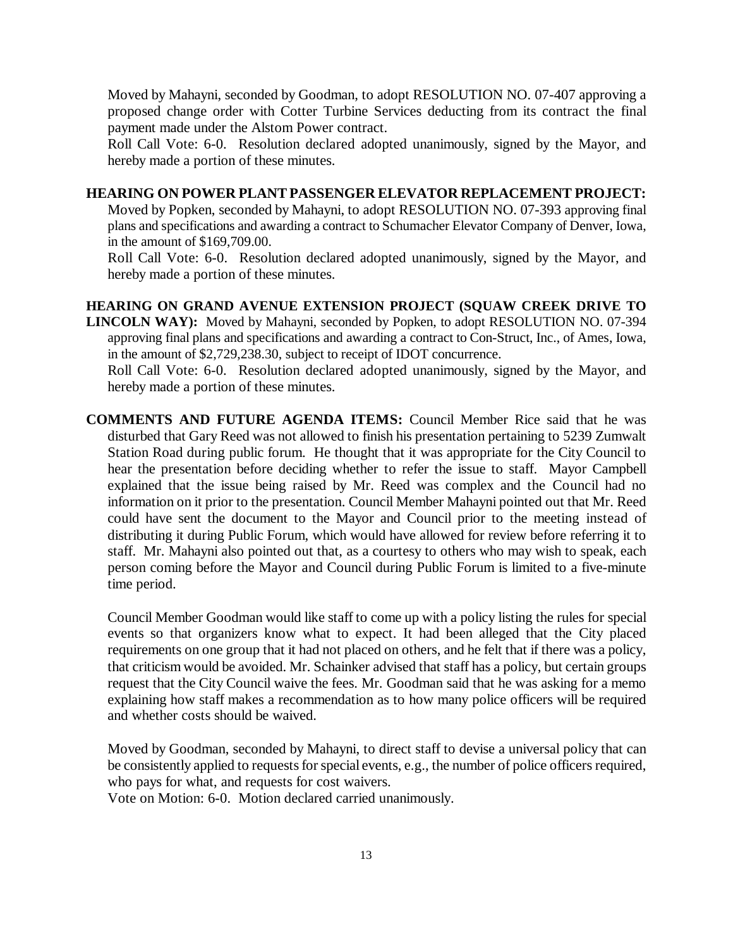Moved by Mahayni, seconded by Goodman, to adopt RESOLUTION NO. 07-407 approving a proposed change order with Cotter Turbine Services deducting from its contract the final payment made under the Alstom Power contract.

Roll Call Vote: 6-0. Resolution declared adopted unanimously, signed by the Mayor, and hereby made a portion of these minutes.

## **HEARING ON POWER PLANT PASSENGER ELEVATOR REPLACEMENT PROJECT:**

Moved by Popken, seconded by Mahayni, to adopt RESOLUTION NO. 07-393 approving final plans and specifications and awarding a contract to Schumacher Elevator Company of Denver, Iowa, in the amount of \$169,709.00.

Roll Call Vote: 6-0. Resolution declared adopted unanimously, signed by the Mayor, and hereby made a portion of these minutes.

**HEARING ON GRAND AVENUE EXTENSION PROJECT (SQUAW CREEK DRIVE TO LINCOLN WAY):** Moved by Mahayni, seconded by Popken, to adopt RESOLUTION NO. 07-394 approving final plans and specifications and awarding a contract to Con-Struct, Inc., of Ames, Iowa, in the amount of \$2,729,238.30, subject to receipt of IDOT concurrence.

Roll Call Vote: 6-0. Resolution declared adopted unanimously, signed by the Mayor, and hereby made a portion of these minutes.

**COMMENTS AND FUTURE AGENDA ITEMS:** Council Member Rice said that he was disturbed that Gary Reed was not allowed to finish his presentation pertaining to 5239 Zumwalt Station Road during public forum. He thought that it was appropriate for the City Council to hear the presentation before deciding whether to refer the issue to staff. Mayor Campbell explained that the issue being raised by Mr. Reed was complex and the Council had no information on it prior to the presentation. Council Member Mahayni pointed out that Mr. Reed could have sent the document to the Mayor and Council prior to the meeting instead of distributing it during Public Forum, which would have allowed for review before referring it to staff. Mr. Mahayni also pointed out that, as a courtesy to others who may wish to speak, each person coming before the Mayor and Council during Public Forum is limited to a five-minute time period.

Council Member Goodman would like staff to come up with a policy listing the rules for special events so that organizers know what to expect. It had been alleged that the City placed requirements on one group that it had not placed on others, and he felt that if there was a policy, that criticism would be avoided. Mr. Schainker advised that staff has a policy, but certain groups request that the City Council waive the fees. Mr. Goodman said that he was asking for a memo explaining how staff makes a recommendation as to how many police officers will be required and whether costs should be waived.

Moved by Goodman, seconded by Mahayni, to direct staff to devise a universal policy that can be consistently applied to requests for special events, e.g., the number of police officers required, who pays for what, and requests for cost waivers.

Vote on Motion: 6-0. Motion declared carried unanimously.